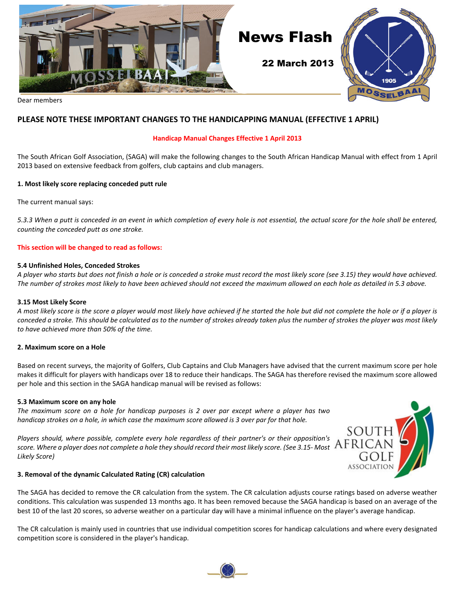

#### **PLEASE NOTE THESE IMPORTANT CHANGES TO THE HANDICAPPING MANUAL (EFFECTIVE 1 APRIL)**

#### **Handicap Manual Changes Effective 1 April 2013**

The South African Golf Association, (SAGA) will make the following changes to the South African Handicap Manual with effect from 1 April 2013 based on extensive feedback from golfers, club captains and club managers.

#### **1. Most likely score replacing conceded putt rule**

The current manual says:

*5.3.3 When a putt is conceded in an event in which completion of every hole is not essential, the actual score for the hole shall be entered, counting the conceded putt as one stroke.*

#### **This section will be changed to read as follows:**

#### **5.4 Unfinished Holes, Conceded Strokes**

*A player who starts but does not finish a hole or is conceded a stroke must record the most likely score (see 3.15) they would have achieved. The number of strokes most likely to have been achieved should not exceed the maximum allowed on each hole as detailed in 5.3 above.*

#### **3.15 Most Likely Score**

*A most likely score is the score a player would most likely have achieved if he started the hole but did not complete the hole or if a player is conceded a stroke. This should be calculated as to the number of strokes already taken plus the number of strokes the player was most likely to have achieved more than 50% of the time.*

#### **2. Maximum score on a Hole**

Based on recent surveys, the majority of Golfers, Club Captains and Club Managers have advised that the current maximum score per hole makes it difficult for players with handicaps over 18 to reduce their handicaps. The SAGA has therefore revised the maximum score allowed per hole and this section in the SAGA handicap manual will be revised as follows:

#### **5.3 Maximum score on any hole**

*The maximum score on a hole for handicap purposes is 2 over par except where a player has two handicap strokes on a hole, in which case the maximum score allowed is 3 over par for that hole.*

*Players should, where possible, complete every hole regardless of their partner's or their opposition's score. Where a player does not complete a hole they should record their most likely score. (See 3.15- Most Likely Score)*



#### **3. Removal of the dynamic Calculated Rating (CR) calculation**

The SAGA has decided to remove the CR calculation from the system. The CR calculation adjusts course ratings based on adverse weather conditions. This calculation was suspended 13 months ago. It has been removed because the SAGA handicap is based on an average of the best 10 of the last 20 scores, so adverse weather on a particular day will have a minimal influence on the player's average handicap.

The CR calculation is mainly used in countries that use individual competition scores for handicap calculations and where every designated competition score is considered in the player's handicap.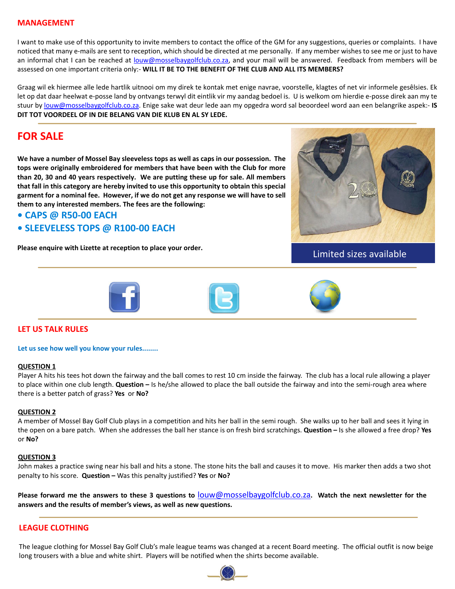#### **MANAGEMENT**

I want to make use of this opportunity to invite members to contact the office of the GM for any suggestions, queries or complaints. I have noticed that many e-mails are sent to reception, which should be directed at me personally. If any member wishes to see me or just to have an informal chat I can be reached at **louw@mosselbaygolfclub.co.za**, and your mail will be answered. Feedback from members will be assessed on one important criteria only:- **WILL IT BE TO THE BENEFIT OF THE CLUB AND ALL ITS MEMBERS?**

Graag wil ek hiermee alle lede hartlik uitnooi om my direk te kontak met enige navrae, voorstelle, klagtes of net vir informele gesêlsies. Ek let op dat daar heelwat e-posse land by ontvangs terwyl dit eintlik vir my aandag bedoel is. U is welkom om hierdie e-posse direk aan my te stuur by [louw@mosselbaygolfclub.co.za](mailto:louw@mosselbaygolfclub.co.za). Enige sake wat deur lede aan my opgedra word sal beoordeel word aan een belangrike aspek:- **IS DIT TOT VOORDEEL OF IN DIE BELANG VAN DIE KLUB EN AL SY LEDE.**

#### **FOR SALE**

**We have a number of Mossel Bay sleeveless tops as well as caps in our possession. The tops were originally embroidered for members that have been with the Club for more than 20, 30 and 40 years respectively. We are putting these up for sale. All members that fall in this category are hereby invited to use this opportunity to obtain this special garment for a nominal fee. However, if we do not get any response we will have to sell them to any interested members. The fees are the following:**

#### **• CAPS @ R50-00 EACH**

#### **• SLEEVELESS TOPS @ R100-00 EACH**

Please enquire with Lizette at reception to place your order.<br>Limited sizes available





#### **LET US TALK RULES**

**Let us see how well you know your rules........**

#### **QUESTION 1**

Player A hits his tees hot down the fairway and the ball comes to rest 10 cm inside the fairway. The club has a local rule allowing a player to place within one club length. **Question –** Is he/she allowed to place the ball outside the fairway and into the semi-rough area where there is a better patch of grass? **Yes** or **No?**

#### **QUESTION 2**

A member of Mossel Bay Golf Club plays in a competition and hits her ball in the semi rough. She walks up to her ball and sees it lying in the open on a bare patch. When she addresses the ball her stance is on fresh bird scratchings. **Question –** Is she allowed a free drop? **Yes** or **No?**

#### **QUESTION 3**

John makes a practice swing near his ball and hits a stone. The stone hits the ball and causes it to move. His marker then adds a two shot penalty to his score. **Question –** Was this penalty justified? **Yes** or **No?**

**Please forward me the answers to these 3 questions to** louw@mosselbaygolfclub.co.za**. Watch the next newsletter for the answers and the results of member's views, as well as new questions.**

#### **LEAGUE CLOTHING**

The league clothing for Mossel Bay Golf Club's male league teams was changed at a recent Board meeting. The official outfit is now beige long trousers with a blue and white shirt. Players will be notified when the shirts become available.

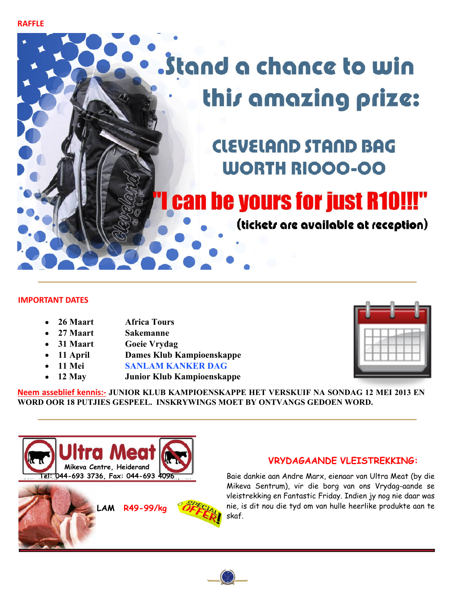**RAFFLE**

## . Stand a chance to win this amazing prize:

## **CLEVELAND STAND BAG WORTH RIOOO-OO**

## **Can be yours for just R10!!!"**

(tickets are available at reception)

#### **IMPORTANT DATES**

- **26 Maart Africa Tours**
- **27 Maart Sakemanne**
- **31 Maart Goeie Vrydag**
- **11 April Dames Klub Kampioenskappe**
- **11 Mei SANLAM KANKER DAG**
- **12 May Junior Klub Kampioenskappe**



**Neem asseblief kennis:- JUNIOR KLUB KAMPIOENSKAPPE HET VERSKUIF NA SONDAG 12 MEI 2013 EN WORD OOR 18 PUTJIES GESPEEL. INSKRYWINGS MOET BY ONTVANGS GEDOEN WORD.**



## skaf. **LAM R49-99/kg**

#### **VRYDAGAANDE VLEISTREKKING:**

Baie dankie aan Andre Marx, eienaar van Ultra Meat (by die Mikeva Sentrum), vir die borg van ons Vrydag-aande se vleistrekking en Fantastic Friday. Indien jy nog nie daar was nie, is dit nou die tyd om van hulle heerlike produkte aan te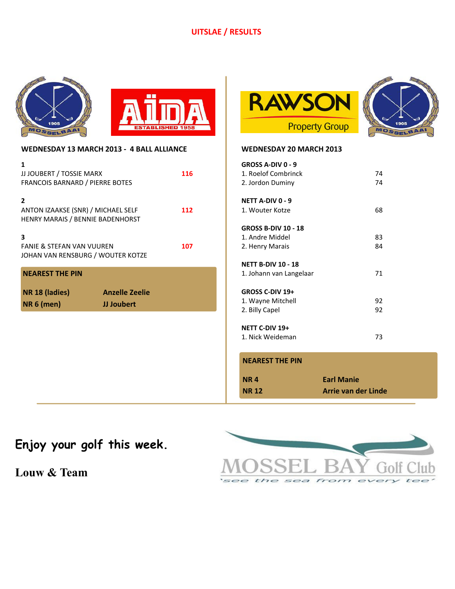#### **UITSLAE / RESULTS**









| WEDNESDAY 13 MARCH 2013 - 4 BALL ALLIANCE                                                          |                                     |     |
|----------------------------------------------------------------------------------------------------|-------------------------------------|-----|
| 1<br>JJ JOUBERT / TOSSIE MARX<br><b>FRANCOIS BARNARD / PIERRE BOTES</b>                            |                                     | 116 |
| $\overline{\phantom{a}}$<br>ANTON IZAAKSE (SNR) / MICHAEL SELF<br>HENRY MARAIS / BENNIE BADENHORST |                                     | 112 |
| 3<br><b>FANIE &amp; STEFAN VAN VUUREN</b><br>JOHAN VAN RENSBURG / WOUTER KOTZE                     |                                     | 107 |
| <b>NEAREST THE PIN</b>                                                                             |                                     |     |
| NR 18 (ladies)<br><b>NR 6 (men)</b>                                                                | <b>Anzelle Zeelie</b><br>JJ Joubert |     |
|                                                                                                    |                                     |     |
|                                                                                                    |                                     |     |
|                                                                                                    |                                     |     |

| WEDNESDAY 20 MARCH 2013                                       |          |
|---------------------------------------------------------------|----------|
| GROSS A-DIV 0 - 9<br>1. Roelof Combrinck<br>2. Jordon Duminy  | 74<br>74 |
| <b>NETT A-DIV 0 - 9</b><br>1. Wouter Kotze                    | 68       |
| GROSS B-DIV 10 - 18<br>1. Andre Middel<br>2. Henry Marais     | 83<br>84 |
| <b>NETT B-DIV 10 - 18</b><br>1. Johann van Langelaar          | 71       |
| <b>GROSS C-DIV 19+</b><br>1. Wayne Mitchell<br>2. Billy Capel | 92<br>92 |
| NETT C-DIV 19+<br>1. Nick Weideman                            | 73       |

#### **NEAREST THE PIN**

| NR 4         | <b>Earl Manie</b>   |
|--------------|---------------------|
| <b>NR 12</b> | Arrie van der Linde |

## **Enjoy your golf this week.**

**Louw & Team**